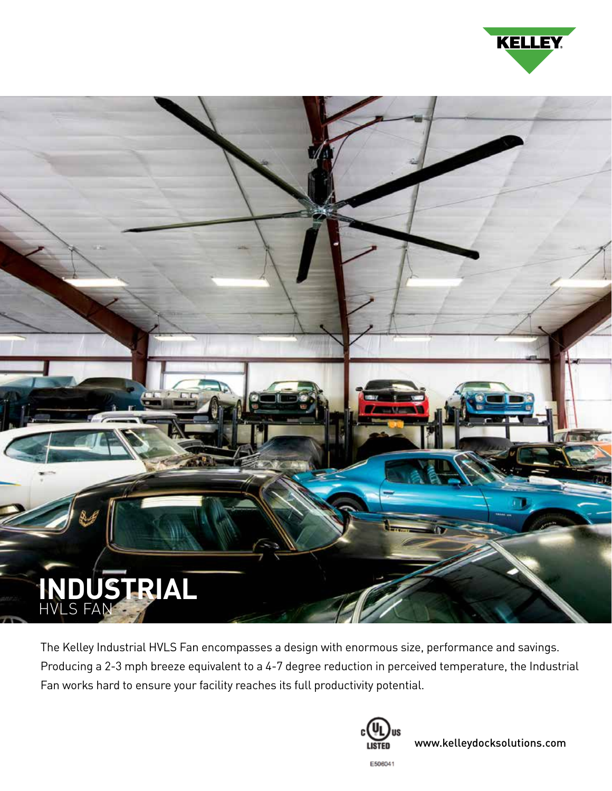



The Kelley Industrial HVLS Fan encompasses a design with enormous size, performance and savings. Producing a 2-3 mph breeze equivalent to a 4-7 degree reduction in perceived temperature, the Industrial Fan works hard to ensure your facility reaches its full productivity potential.



www.kelleydocksolutions.com